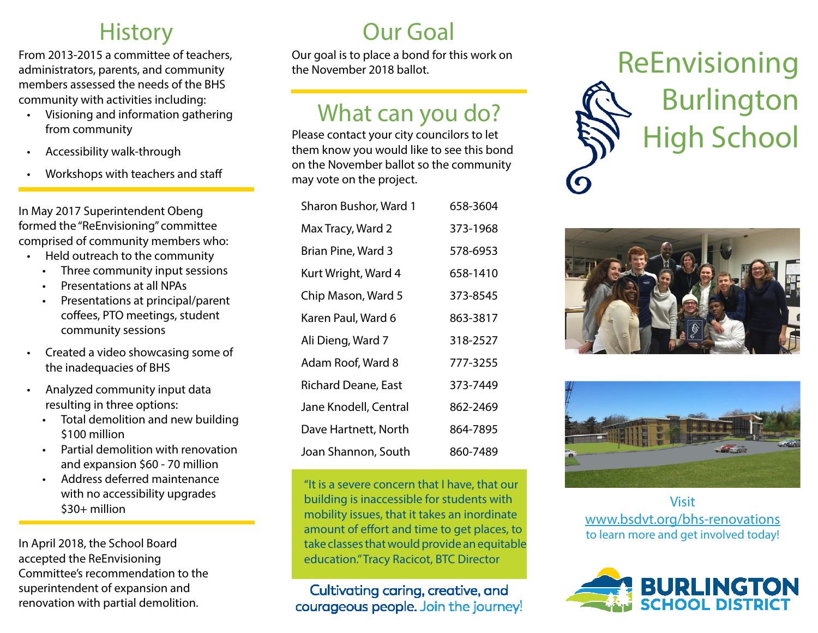#### **History**

From 2013-2015 a committee of teachers, administrators, parents, and community members assessed the needs of the BHS community with activities including:

- • Visioning and information gathering from community
- Accessibility walk-through
- Workshops with teachers and staff

In May 2017 Superintendent Obeng formed the "ReEnvisioning" committee comprised of community members who:

- • Held outreach to the community
	- Three community input sessions
	- Presentations at all NPAs
	- Presentations at principal/parent coffees, PTO meetings, student community sessions
- • Created a video showcasing some of the inadequacies of BHS
- Analyzed community input data resulting in three options:
	- Total demolition and new building \$100 million
	- Partial demolition with renovation and expansion \$60 - 70 million
	- Address deferred maintenance with no accessibility upgrades \$30+ million

In April 2018, the School Board accepted the ReEnvisioning Committee's recommendation to the superintendent of expansion and renovation with partial demolition.

#### Our Goal

Our goal is to place a bond for this work on the November 2018 ballot.

#### What can you do?

Please contact your city councilors to let them know you would like to see this bond on the November ballot so the community may vote on the project.

| Sharon Bushor, Ward 1      | 658-3604 |
|----------------------------|----------|
| Max Tracy, Ward 2          | 373-1968 |
| Brian Pine, Ward 3         | 578-6953 |
| Kurt Wright, Ward 4        | 658-1410 |
| Chip Mason, Ward 5         | 373-8545 |
| Karen Paul, Ward 6         | 863-3817 |
| Ali Dieng, Ward 7          | 318-2527 |
| Adam Roof, Ward 8          | 777-3255 |
| <b>Richard Deane, East</b> | 373-7449 |
| Jane Knodell, Central      | 862-2469 |
| Dave Hartnett, North       | 864-7895 |
| Joan Shannon, South        | 860-7489 |

"It is a severe concern that I have, that our building is inaccessible for students with mobility issues, that it takes an inordinate amount of effort and time to get places, to take classes that would provide an equitable education." Tracy Racicot, BTC Director

Cultivating caring, creative, and courageous people. Join the journey! ReEnvisioning Burlington High School





Visit www.bsdvt.org/bhs-renovations to learn more and get involved today!